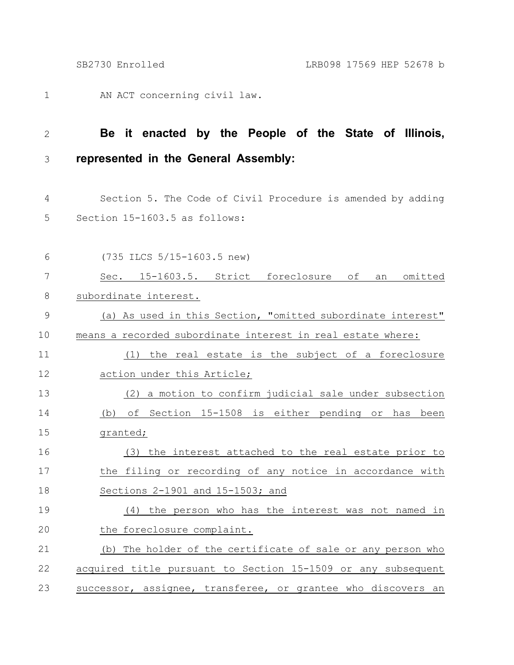AN ACT concerning civil law. 1

## **Be it enacted by the People of the State of Illinois, represented in the General Assembly:** 2 3

- Section 5. The Code of Civil Procedure is amended by adding Section 15-1603.5 as follows: 4 5
- (735 ILCS 5/15-1603.5 new) Sec. 15-1603.5. Strict foreclosure of an omitted subordinate interest. (a) As used in this Section, "omitted subordinate interest" means a recorded subordinate interest in real estate where: (1) the real estate is the subject of a foreclosure action under this Article; (2) a motion to confirm judicial sale under subsection (b) of Section 15-1508 is either pending or has been granted; (3) the interest attached to the real estate prior to the filing or recording of any notice in accordance with Sections 2-1901 and 15-1503; and (4) the person who has the interest was not named in the foreclosure complaint. (b) The holder of the certificate of sale or any person who acquired title pursuant to Section 15-1509 or any subsequent successor, assignee, transferee, or grantee who discovers an 6 7 8 9 10 11 12 13 14 15 16 17 18 19 20 21 22 23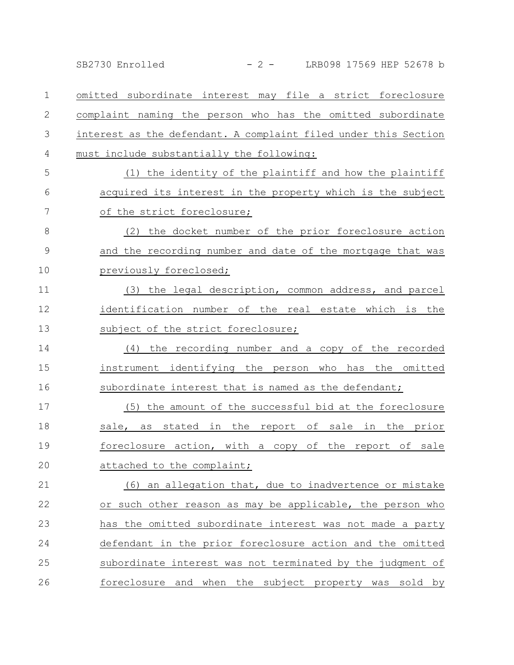omitted subordinate interest may file a strict foreclosure complaint naming the person who has the omitted subordinate interest as the defendant. A complaint filed under this Section must include substantially the following: (1) the identity of the plaintiff and how the plaintiff acquired its interest in the property which is the subject of the strict foreclosure; (2) the docket number of the prior foreclosure action and the recording number and date of the mortgage that was previously foreclosed; (3) the legal description, common address, and parcel identification number of the real estate which is the subject of the strict foreclosure; (4) the recording number and a copy of the recorded instrument identifying the person who has the omitted subordinate interest that is named as the defendant; (5) the amount of the successful bid at the foreclosure sale, as stated in the report of sale in the prior foreclosure action, with a copy of the report of sale attached to the complaint; (6) an allegation that, due to inadvertence or mistake or such other reason as may be applicable, the person who has the omitted subordinate interest was not made a party defendant in the prior foreclosure action and the omitted subordinate interest was not terminated by the judgment of foreclosure and when the subject property was sold by 1 2 3 4 5 6 7 8 9 10 11 12 13 14 15 16 17 18 19 20 21 22 23 24 25 26 SB2730 Enrolled - 2 - LRB098 17569 HEP 52678 b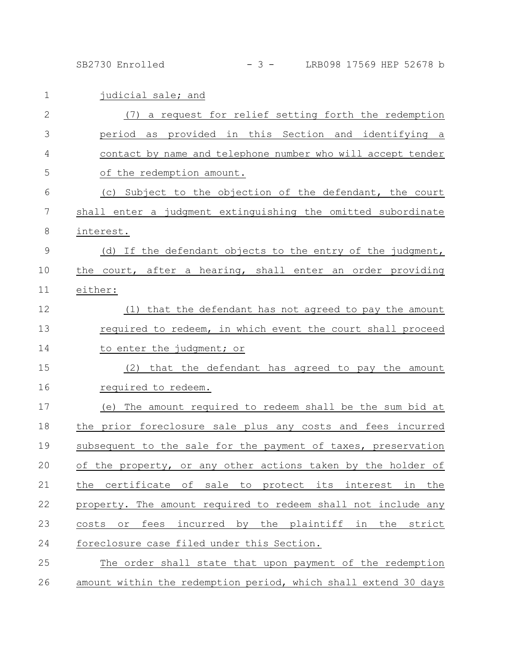SB2730 Enrolled - 3 - LRB098 17569 HEP 52678 b

| $\mathbf{1}$   | judicial sale; and                                                |
|----------------|-------------------------------------------------------------------|
| $\overline{2}$ | (7) a request for relief setting forth the redemption             |
| 3              | period as provided in this Section and identifying a              |
| 4              | contact by name and telephone number who will accept tender       |
| 5              | of the redemption amount.                                         |
| 6              | (c) Subject to the objection of the defendant, the court          |
| 7              | shall enter a judgment extinguishing the omitted subordinate      |
| 8              | interest.                                                         |
| $\mathcal{G}$  | (d) If the defendant objects to the entry of the judgment,        |
| 10             | the court, after a hearing, shall enter an order providing        |
| 11             | either:                                                           |
| 12             | (1) that the defendant has not agreed to pay the amount           |
| 13             | required to redeem, in which event the court shall proceed        |
| 14             | to enter the judgment; or                                         |
| 15             | that the defendant has agreed to pay the amount<br>(2)            |
| 16             | required to redeem.                                               |
| 17             | The amount required to redeem shall be the sum bid at<br>(e)      |
| 18             | the prior foreclosure sale plus any costs and fees incurred       |
| 19             | subsequent to the sale for the payment of taxes, preservation     |
| 20             | of the property, or any other actions taken by the holder of      |
| 21             | the certificate of sale to protect its interest in the            |
| 22             | property. The amount required to redeem shall not include any     |
| 23             | incurred by the plaintiff in the<br>fees<br>strict<br>costs<br>or |
| 24             | foreclosure case filed under this Section.                        |
| 25             | The order shall state that upon payment of the redemption         |
| 26             | amount within the redemption period, which shall extend 30 days   |